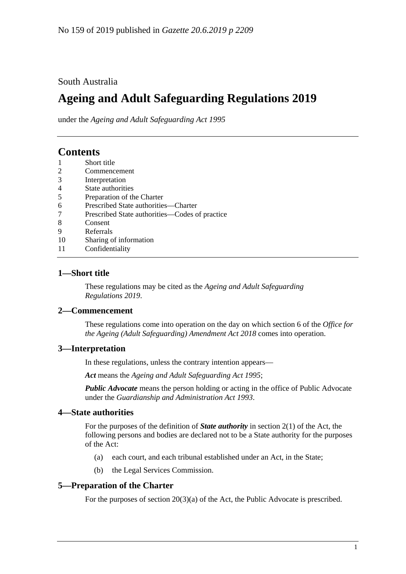## South Australia

# **Ageing and Adult Safeguarding Regulations 2019**

under the *Ageing and Adult Safeguarding Act 1995*

# **Contents**

- 1 [Short title](#page-0-0)
- 2 [Commencement](#page-0-1)
- 3 [Interpretation](#page-0-2)
- 4 [State authorities](#page-0-3)
- 5 [Preparation of the Charter](#page-0-4)
- 6 [Prescribed State authorities—Charter](#page-1-0)
- 7 [Prescribed State authorities—Codes of practice](#page-1-1)
- 8 [Consent](#page-1-2)
- 9 [Referrals](#page-1-3)
- 10 [Sharing of information](#page-2-0)
- 11 [Confidentiality](#page-2-1)

#### <span id="page-0-0"></span>**1—Short title**

These regulations may be cited as the *Ageing and Adult Safeguarding Regulations 2019*.

#### <span id="page-0-1"></span>**2—Commencement**

These regulations come into operation on the day on which section 6 of the *[Office for](http://www.legislation.sa.gov.au/index.aspx?action=legref&type=act&legtitle=Office%20for%20the%20Ageing%20(Adult%20Safeguarding)%20Amendment%20Act%202018)  [the Ageing \(Adult Safeguarding\) Amendment Act](http://www.legislation.sa.gov.au/index.aspx?action=legref&type=act&legtitle=Office%20for%20the%20Ageing%20(Adult%20Safeguarding)%20Amendment%20Act%202018) 2018* comes into operation.

### <span id="page-0-2"></span>**3—Interpretation**

In these regulations, unless the contrary intention appears—

*Act* means the *[Ageing and Adult Safeguarding Act](http://www.legislation.sa.gov.au/index.aspx?action=legref&type=act&legtitle=Ageing%20and%20Adult%20Safeguarding%20Act%201995) 1995*;

*Public Advocate* means the person holding or acting in the office of Public Advocate under the *[Guardianship and Administration Act](http://www.legislation.sa.gov.au/index.aspx?action=legref&type=act&legtitle=Guardianship%20and%20Administration%20Act%201993) 1993*.

#### <span id="page-0-3"></span>**4—State authorities**

For the purposes of the definition of *State authority* in section 2(1) of the Act, the following persons and bodies are declared not to be a State authority for the purposes of the Act:

- (a) each court, and each tribunal established under an Act, in the State;
- (b) the Legal Services Commission.

#### <span id="page-0-4"></span>**5—Preparation of the Charter**

For the purposes of section 20(3)(a) of the Act, the Public Advocate is prescribed.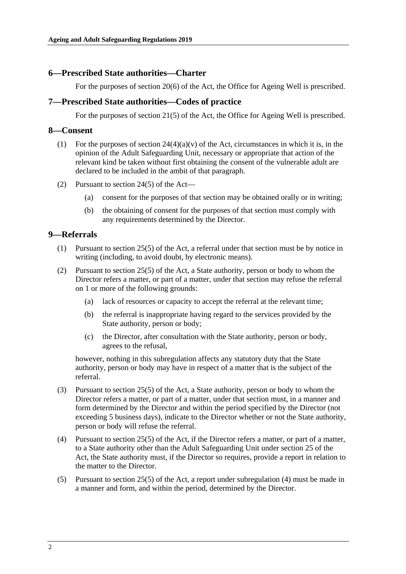#### <span id="page-1-0"></span>**6—Prescribed State authorities—Charter**

For the purposes of section 20(6) of the Act, the Office for Ageing Well is prescribed.

#### <span id="page-1-1"></span>**7—Prescribed State authorities—Codes of practice**

For the purposes of section 21(5) of the Act, the Office for Ageing Well is prescribed.

#### <span id="page-1-2"></span>**8—Consent**

- (1) For the purposes of section  $24(4)(a)(v)$  of the Act, circumstances in which it is, in the opinion of the Adult Safeguarding Unit, necessary or appropriate that action of the relevant kind be taken without first obtaining the consent of the vulnerable adult are declared to be included in the ambit of that paragraph.
- (2) Pursuant to section 24(5) of the Act—
	- (a) consent for the purposes of that section may be obtained orally or in writing;
	- (b) the obtaining of consent for the purposes of that section must comply with any requirements determined by the Director.

#### <span id="page-1-3"></span>**9—Referrals**

- (1) Pursuant to section 25(5) of the Act, a referral under that section must be by notice in writing (including, to avoid doubt, by electronic means).
- (2) Pursuant to section 25(5) of the Act, a State authority, person or body to whom the Director refers a matter, or part of a matter, under that section may refuse the referral on 1 or more of the following grounds:
	- (a) lack of resources or capacity to accept the referral at the relevant time;
	- (b) the referral is inappropriate having regard to the services provided by the State authority, person or body;
	- (c) the Director, after consultation with the State authority, person or body, agrees to the refusal,

however, nothing in this subregulation affects any statutory duty that the State authority, person or body may have in respect of a matter that is the subject of the referral.

- (3) Pursuant to section 25(5) of the Act, a State authority, person or body to whom the Director refers a matter, or part of a matter, under that section must, in a manner and form determined by the Director and within the period specified by the Director (not exceeding 5 business days), indicate to the Director whether or not the State authority, person or body will refuse the referral.
- <span id="page-1-4"></span>(4) Pursuant to section 25(5) of the Act, if the Director refers a matter, or part of a matter, to a State authority other than the Adult Safeguarding Unit under section 25 of the Act, the State authority must, if the Director so requires, provide a report in relation to the matter to the Director.
- (5) Pursuant to section 25(5) of the Act, a report under [subregulation](#page-1-4) (4) must be made in a manner and form, and within the period, determined by the Director.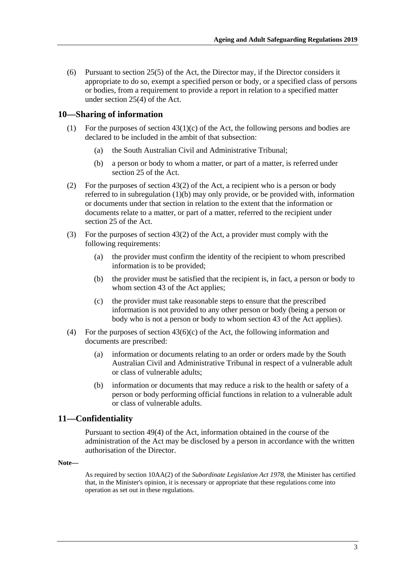(6) Pursuant to section 25(5) of the Act, the Director may, if the Director considers it appropriate to do so, exempt a specified person or body, or a specified class of persons or bodies, from a requirement to provide a report in relation to a specified matter under section 25(4) of the Act.

### <span id="page-2-0"></span>**10—Sharing of information**

- (1) For the purposes of section  $43(1)(c)$  of the Act, the following persons and bodies are declared to be included in the ambit of that subsection:
	- (a) the South Australian Civil and Administrative Tribunal;
	- (b) a person or body to whom a matter, or part of a matter, is referred under section 25 of the Act.
- <span id="page-2-2"></span>(2) For the purposes of section 43(2) of the Act, a recipient who is a person or body referred to in [subregulation](#page-2-2) (1)(b) may only provide, or be provided with, information or documents under that section in relation to the extent that the information or documents relate to a matter, or part of a matter, referred to the recipient under section 25 of the Act.
- (3) For the purposes of section 43(2) of the Act, a provider must comply with the following requirements:
	- (a) the provider must confirm the identity of the recipient to whom prescribed information is to be provided;
	- (b) the provider must be satisfied that the recipient is, in fact, a person or body to whom section 43 of the Act applies;
	- (c) the provider must take reasonable steps to ensure that the prescribed information is not provided to any other person or body (being a person or body who is not a person or body to whom section 43 of the Act applies).
- (4) For the purposes of section  $43(6)(c)$  of the Act, the following information and documents are prescribed:
	- (a) information or documents relating to an order or orders made by the South Australian Civil and Administrative Tribunal in respect of a vulnerable adult or class of vulnerable adults;
	- (b) information or documents that may reduce a risk to the health or safety of a person or body performing official functions in relation to a vulnerable adult or class of vulnerable adults.

#### <span id="page-2-1"></span>**11—Confidentiality**

Pursuant to section 49(4) of the Act, information obtained in the course of the administration of the Act may be disclosed by a person in accordance with the written authorisation of the Director.

#### **Note—**

As required by section 10AA(2) of the *[Subordinate Legislation Act](http://www.legislation.sa.gov.au/index.aspx?action=legref&type=act&legtitle=Subordinate%20Legislation%20Act%201978) 1978*, the Minister has certified that, in the Minister's opinion, it is necessary or appropriate that these regulations come into operation as set out in these regulations.